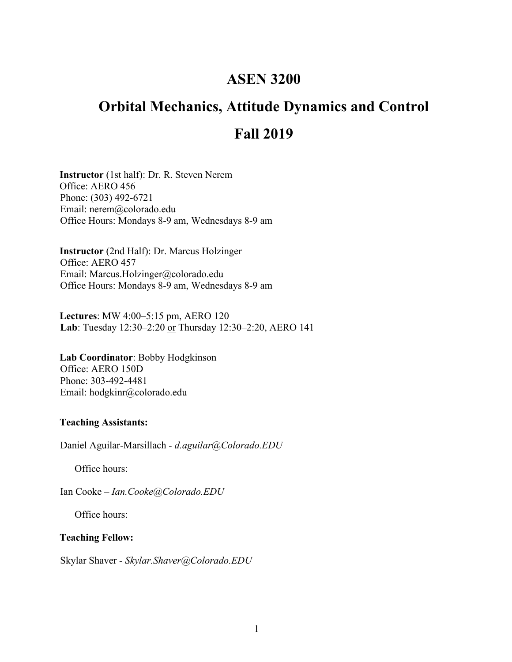## **ASEN 3200**

# **Orbital Mechanics, Attitude Dynamics and Control Fall 2019**

**Instructor** (1st half): Dr. R. Steven Nerem Office: AERO 456 Phone: (303) 492-6721 Email: nerem@colorado.edu Office Hours: Mondays 8-9 am, Wednesdays 8-9 am

**Instructor** (2nd Half): Dr. Marcus Holzinger Office: AERO 457 Email: Marcus.Holzinger@colorado.edu Office Hours: Mondays 8-9 am, Wednesdays 8-9 am

**Lectures**: MW 4:00–5:15 pm, AERO 120 **Lab**: Tuesday 12:30–2:20 or Thursday 12:30–2:20, AERO 141

**Lab Coordinator**: Bobby Hodgkinson Office: AERO 150D Phone: 303-492-4481 Email: hodgkinr@colorado.edu

#### **Teaching Assistants:**

Daniel Aguilar-Marsillach *- d.aguilar@Colorado.EDU*

Office hours:

Ian Cooke *– Ian.Cooke@Colorado.EDU*

Office hours:

#### **Teaching Fellow:**

Skylar Shaver *- Skylar.Shaver@Colorado.EDU*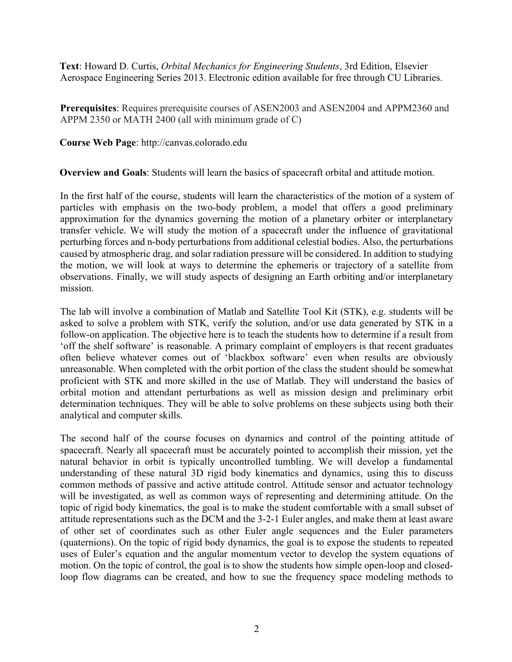**Text**: Howard D. Curtis, *Orbital Mechanics for Engineering Students*, 3rd Edition, Elsevier Aerospace Engineering Series 2013. Electronic edition available for free through CU Libraries.

**Prerequisites**: Requires prerequisite courses of ASEN2003 and ASEN2004 and APPM2360 and APPM 2350 or MATH 2400 (all with minimum grade of C)

**Course Web Page**: http://canvas.colorado.edu

**Overview and Goals**: Students will learn the basics of spacecraft orbital and attitude motion.

In the first half of the course, students will learn the characteristics of the motion of a system of particles with emphasis on the two-body problem, a model that offers a good preliminary approximation for the dynamics governing the motion of a planetary orbiter or interplanetary transfer vehicle. We will study the motion of a spacecraft under the influence of gravitational perturbing forces and n-body perturbations from additional celestial bodies. Also, the perturbations caused by atmospheric drag, and solar radiation pressure will be considered. In addition to studying the motion, we will look at ways to determine the ephemeris or trajectory of a satellite from observations. Finally, we will study aspects of designing an Earth orbiting and/or interplanetary mission.

The lab will involve a combination of Matlab and Satellite Tool Kit (STK), e.g. students will be asked to solve a problem with STK, verify the solution, and/or use data generated by STK in a follow-on application. The objective here is to teach the students how to determine if a result from 'off the shelf software' is reasonable. A primary complaint of employers is that recent graduates often believe whatever comes out of 'blackbox software' even when results are obviously unreasonable. When completed with the orbit portion of the class the student should be somewhat proficient with STK and more skilled in the use of Matlab. They will understand the basics of orbital motion and attendant perturbations as well as mission design and preliminary orbit determination techniques. They will be able to solve problems on these subjects using both their analytical and computer skills.

The second half of the course focuses on dynamics and control of the pointing attitude of spacecraft. Nearly all spacecraft must be accurately pointed to accomplish their mission, yet the natural behavior in orbit is typically uncontrolled tumbling. We will develop a fundamental understanding of these natural 3D rigid body kinematics and dynamics, using this to discuss common methods of passive and active attitude control. Attitude sensor and actuator technology will be investigated, as well as common ways of representing and determining attitude. On the topic of rigid body kinematics, the goal is to make the student comfortable with a small subset of attitude representations such as the DCM and the 3-2-1 Euler angles, and make them at least aware of other set of coordinates such as other Euler angle sequences and the Euler parameters (quaternions). On the topic of rigid body dynamics, the goal is to expose the students to repeated uses of Euler's equation and the angular momentum vector to develop the system equations of motion. On the topic of control, the goal is to show the students how simple open-loop and closedloop flow diagrams can be created, and how to sue the frequency space modeling methods to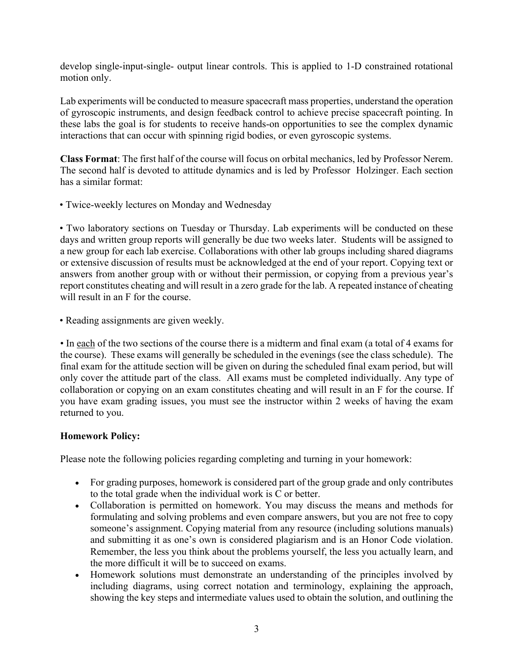develop single-input-single- output linear controls. This is applied to 1-D constrained rotational motion only.

Lab experiments will be conducted to measure spacecraft mass properties, understand the operation of gyroscopic instruments, and design feedback control to achieve precise spacecraft pointing. In these labs the goal is for students to receive hands-on opportunities to see the complex dynamic interactions that can occur with spinning rigid bodies, or even gyroscopic systems.

**Class Format**: The first half of the course will focus on orbital mechanics, led by Professor Nerem. The second half is devoted to attitude dynamics and is led by Professor Holzinger. Each section has a similar format:

• Twice-weekly lectures on Monday and Wednesday

• Two laboratory sections on Tuesday or Thursday. Lab experiments will be conducted on these days and written group reports will generally be due two weeks later. Students will be assigned to a new group for each lab exercise. Collaborations with other lab groups including shared diagrams or extensive discussion of results must be acknowledged at the end of your report. Copying text or answers from another group with or without their permission, or copying from a previous year's report constitutes cheating and will result in a zero grade for the lab. A repeated instance of cheating will result in an F for the course.

• Reading assignments are given weekly.

• In each of the two sections of the course there is a midterm and final exam (a total of 4 exams for the course). These exams will generally be scheduled in the evenings (see the class schedule). The final exam for the attitude section will be given on during the scheduled final exam period, but will only cover the attitude part of the class. All exams must be completed individually. Any type of collaboration or copying on an exam constitutes cheating and will result in an F for the course. If you have exam grading issues, you must see the instructor within 2 weeks of having the exam returned to you.

### **Homework Policy:**

Please note the following policies regarding completing and turning in your homework:

- For grading purposes, homework is considered part of the group grade and only contributes to the total grade when the individual work is C or better.
- Collaboration is permitted on homework. You may discuss the means and methods for formulating and solving problems and even compare answers, but you are not free to copy someone's assignment. Copying material from any resource (including solutions manuals) and submitting it as one's own is considered plagiarism and is an Honor Code violation. Remember, the less you think about the problems yourself, the less you actually learn, and the more difficult it will be to succeed on exams.
- Homework solutions must demonstrate an understanding of the principles involved by including diagrams, using correct notation and terminology, explaining the approach, showing the key steps and intermediate values used to obtain the solution, and outlining the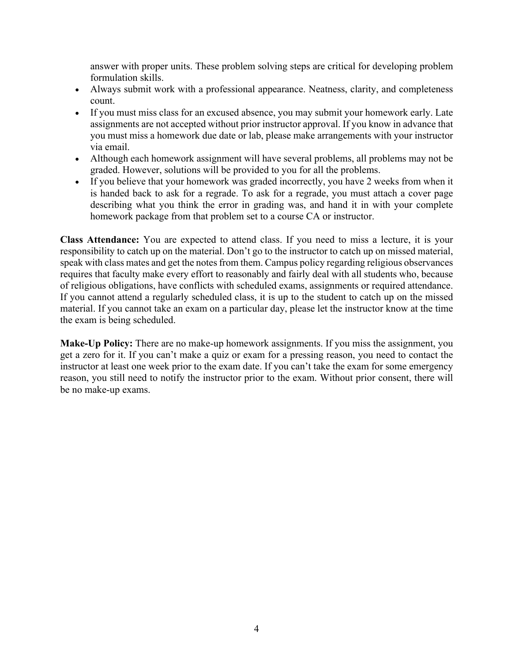answer with proper units. These problem solving steps are critical for developing problem formulation skills.

- Always submit work with a professional appearance. Neatness, clarity, and completeness count.
- If you must miss class for an excused absence, you may submit your homework early. Late assignments are not accepted without prior instructor approval. If you know in advance that you must miss a homework due date or lab, please make arrangements with your instructor via email.
- Although each homework assignment will have several problems, all problems may not be graded. However, solutions will be provided to you for all the problems.
- If you believe that your homework was graded incorrectly, you have 2 weeks from when it is handed back to ask for a regrade. To ask for a regrade, you must attach a cover page describing what you think the error in grading was, and hand it in with your complete homework package from that problem set to a course CA or instructor.

**Class Attendance:** You are expected to attend class. If you need to miss a lecture, it is your responsibility to catch up on the material. Don't go to the instructor to catch up on missed material, speak with class mates and get the notes from them. Campus policy regarding religious observances requires that faculty make every effort to reasonably and fairly deal with all students who, because of religious obligations, have conflicts with scheduled exams, assignments or required attendance. If you cannot attend a regularly scheduled class, it is up to the student to catch up on the missed material. If you cannot take an exam on a particular day, please let the instructor know at the time the exam is being scheduled.

**Make-Up Policy:** There are no make-up homework assignments. If you miss the assignment, you get a zero for it. If you can't make a quiz or exam for a pressing reason, you need to contact the instructor at least one week prior to the exam date. If you can't take the exam for some emergency reason, you still need to notify the instructor prior to the exam. Without prior consent, there will be no make-up exams.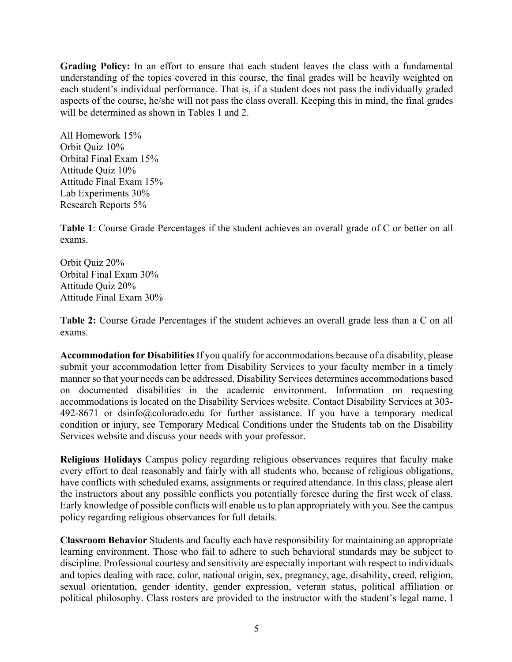**Grading Policy:** In an effort to ensure that each student leaves the class with a fundamental understanding of the topics covered in this course, the final grades will be heavily weighted on each student's individual performance. That is, if a student does not pass the individually graded aspects of the course, he/she will not pass the class overall. Keeping this in mind, the final grades will be determined as shown in Tables 1 and 2.

All Homework 15% Orbit Quiz 10% Orbital Final Exam 15% Attitude Quiz 10% Attitude Final Exam 15% Lab Experiments 30% Research Reports 5%

**Table 1**: Course Grade Percentages if the student achieves an overall grade of C or better on all exams.

Orbit Quiz 20% Orbital Final Exam 30% Attitude Quiz 20% Attitude Final Exam 30%

**Table 2:** Course Grade Percentages if the student achieves an overall grade less than a C on all exams.

**Accommodation for Disabilities**If you qualify for accommodations because of a disability, please submit your accommodation letter from Disability Services to your faculty member in a timely manner so that your needs can be addressed. Disability Services determines accommodations based on documented disabilities in the academic environment. Information on requesting accommodations is located on the Disability Services website. Contact Disability Services at 303- 492-8671 or dsinfo@colorado.edu for further assistance. If you have a temporary medical condition or injury, see Temporary Medical Conditions under the Students tab on the Disability Services website and discuss your needs with your professor.

**Religious Holidays** Campus policy regarding religious observances requires that faculty make every effort to deal reasonably and fairly with all students who, because of religious obligations, have conflicts with scheduled exams, assignments or required attendance. In this class, please alert the instructors about any possible conflicts you potentially foresee during the first week of class. Early knowledge of possible conflicts will enable us to plan appropriately with you. See the campus policy regarding religious observances for full details.

**Classroom Behavior** Students and faculty each have responsibility for maintaining an appropriate learning environment. Those who fail to adhere to such behavioral standards may be subject to discipline. Professional courtesy and sensitivity are especially important with respect to individuals and topics dealing with race, color, national origin, sex, pregnancy, age, disability, creed, religion, sexual orientation, gender identity, gender expression, veteran status, political affiliation or political philosophy. Class rosters are provided to the instructor with the student's legal name. I